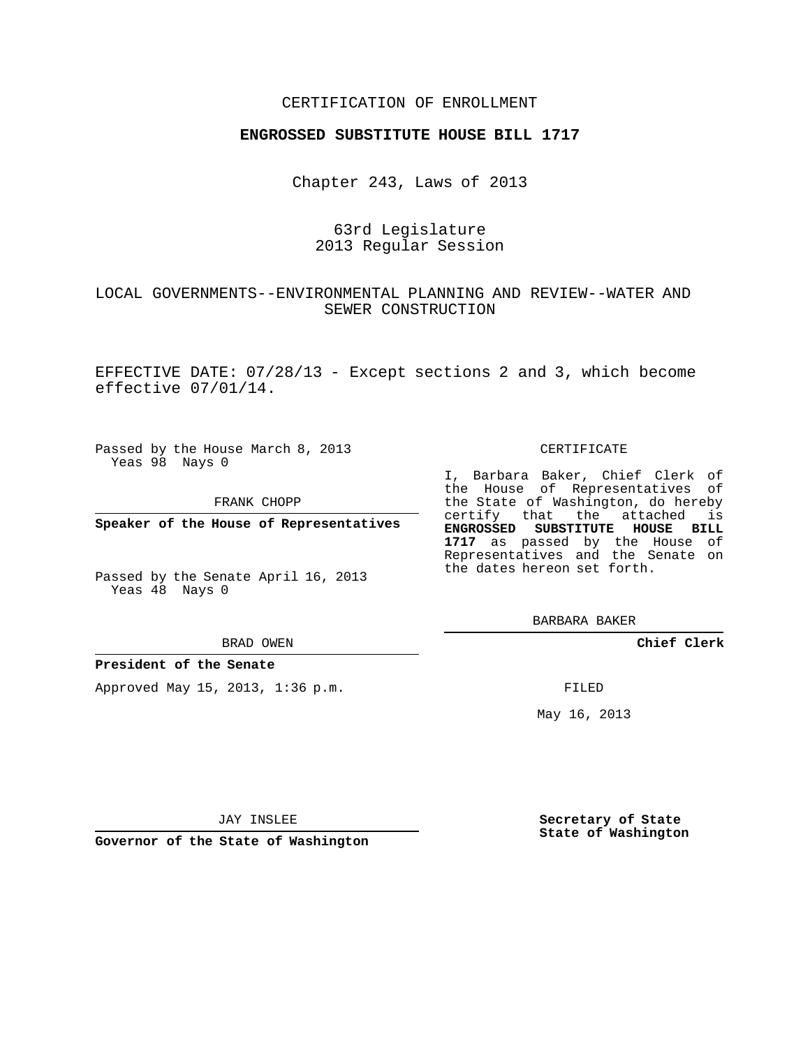## CERTIFICATION OF ENROLLMENT

## **ENGROSSED SUBSTITUTE HOUSE BILL 1717**

Chapter 243, Laws of 2013

## 63rd Legislature 2013 Regular Session

# LOCAL GOVERNMENTS--ENVIRONMENTAL PLANNING AND REVIEW--WATER AND SEWER CONSTRUCTION

EFFECTIVE DATE: 07/28/13 - Except sections 2 and 3, which become effective 07/01/14.

Passed by the House March 8, 2013 Yeas 98 Nays 0

FRANK CHOPP

**Speaker of the House of Representatives**

Passed by the Senate April 16, 2013 Yeas 48 Nays 0

#### BRAD OWEN

## **President of the Senate**

Approved May 15, 2013, 1:36 p.m.

### CERTIFICATE

I, Barbara Baker, Chief Clerk of the House of Representatives of the State of Washington, do hereby certify that the attached is **ENGROSSED SUBSTITUTE HOUSE BILL 1717** as passed by the House of Representatives and the Senate on the dates hereon set forth.

BARBARA BAKER

**Chief Clerk**

FILED

May 16, 2013

JAY INSLEE

**Governor of the State of Washington**

**Secretary of State State of Washington**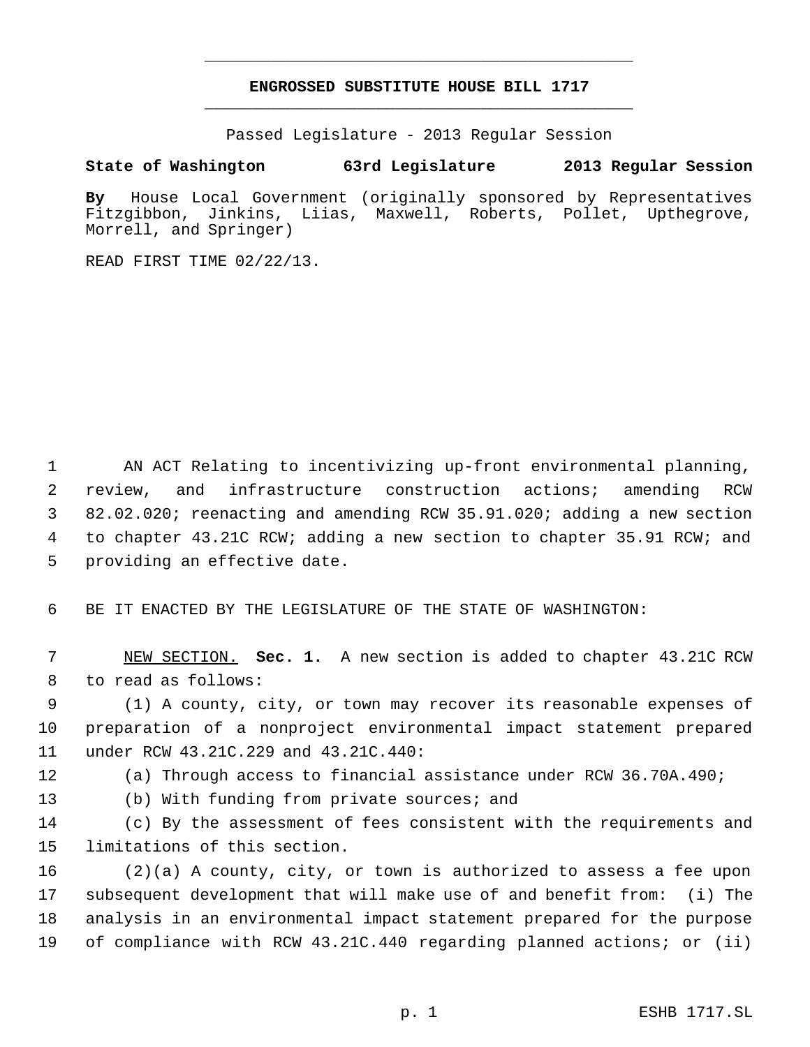# **ENGROSSED SUBSTITUTE HOUSE BILL 1717** \_\_\_\_\_\_\_\_\_\_\_\_\_\_\_\_\_\_\_\_\_\_\_\_\_\_\_\_\_\_\_\_\_\_\_\_\_\_\_\_\_\_\_\_\_

\_\_\_\_\_\_\_\_\_\_\_\_\_\_\_\_\_\_\_\_\_\_\_\_\_\_\_\_\_\_\_\_\_\_\_\_\_\_\_\_\_\_\_\_\_

Passed Legislature - 2013 Regular Session

# **State of Washington 63rd Legislature 2013 Regular Session**

**By** House Local Government (originally sponsored by Representatives Liias, Maxwell, Roberts, Pollet, Upthegrove, Morrell, and Springer)

READ FIRST TIME 02/22/13.

 AN ACT Relating to incentivizing up-front environmental planning, review, and infrastructure construction actions; amending RCW 82.02.020; reenacting and amending RCW 35.91.020; adding a new section to chapter 43.21C RCW; adding a new section to chapter 35.91 RCW; and providing an effective date.

BE IT ENACTED BY THE LEGISLATURE OF THE STATE OF WASHINGTON:

 NEW SECTION. **Sec. 1.** A new section is added to chapter 43.21C RCW to read as follows:

 (1) A county, city, or town may recover its reasonable expenses of preparation of a nonproject environmental impact statement prepared under RCW 43.21C.229 and 43.21C.440:

(a) Through access to financial assistance under RCW 36.70A.490;

(b) With funding from private sources; and

 (c) By the assessment of fees consistent with the requirements and limitations of this section.

 (2)(a) A county, city, or town is authorized to assess a fee upon subsequent development that will make use of and benefit from: (i) The analysis in an environmental impact statement prepared for the purpose of compliance with RCW 43.21C.440 regarding planned actions; or (ii)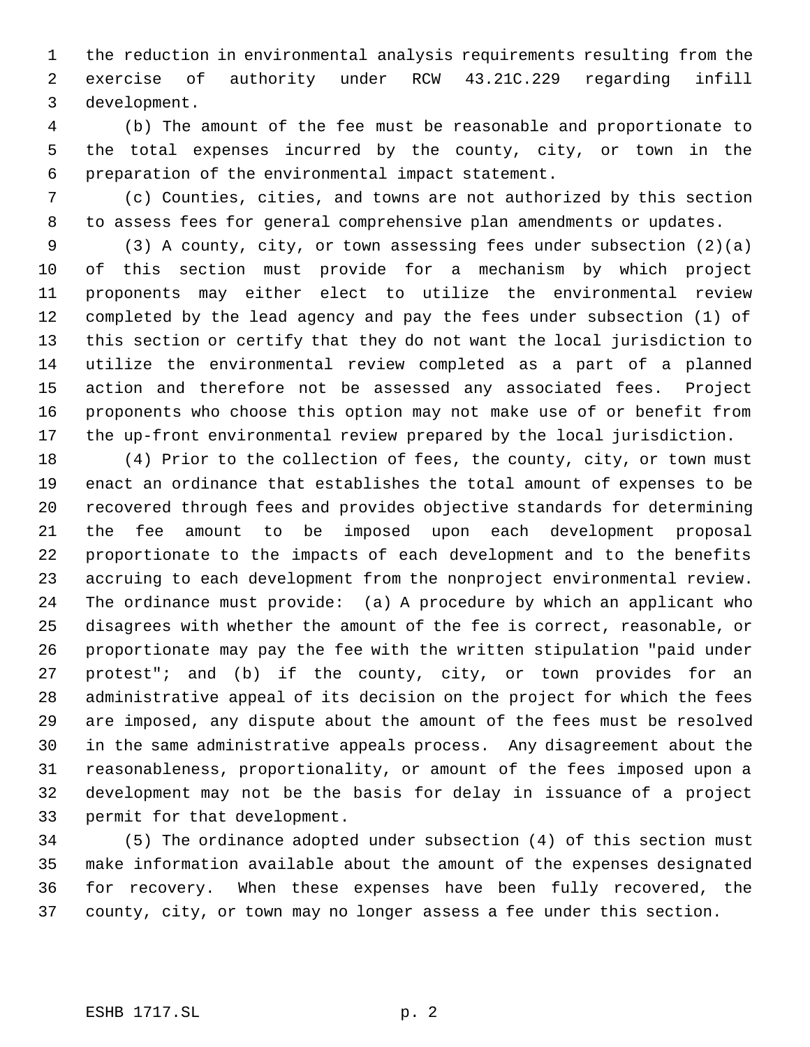the reduction in environmental analysis requirements resulting from the exercise of authority under RCW 43.21C.229 regarding infill development.

 (b) The amount of the fee must be reasonable and proportionate to the total expenses incurred by the county, city, or town in the preparation of the environmental impact statement.

 (c) Counties, cities, and towns are not authorized by this section to assess fees for general comprehensive plan amendments or updates.

 (3) A county, city, or town assessing fees under subsection (2)(a) of this section must provide for a mechanism by which project proponents may either elect to utilize the environmental review completed by the lead agency and pay the fees under subsection (1) of this section or certify that they do not want the local jurisdiction to utilize the environmental review completed as a part of a planned action and therefore not be assessed any associated fees. Project proponents who choose this option may not make use of or benefit from the up-front environmental review prepared by the local jurisdiction.

 (4) Prior to the collection of fees, the county, city, or town must enact an ordinance that establishes the total amount of expenses to be recovered through fees and provides objective standards for determining the fee amount to be imposed upon each development proposal proportionate to the impacts of each development and to the benefits accruing to each development from the nonproject environmental review. The ordinance must provide: (a) A procedure by which an applicant who disagrees with whether the amount of the fee is correct, reasonable, or proportionate may pay the fee with the written stipulation "paid under protest"; and (b) if the county, city, or town provides for an administrative appeal of its decision on the project for which the fees are imposed, any dispute about the amount of the fees must be resolved in the same administrative appeals process. Any disagreement about the reasonableness, proportionality, or amount of the fees imposed upon a development may not be the basis for delay in issuance of a project permit for that development.

 (5) The ordinance adopted under subsection (4) of this section must make information available about the amount of the expenses designated for recovery. When these expenses have been fully recovered, the county, city, or town may no longer assess a fee under this section.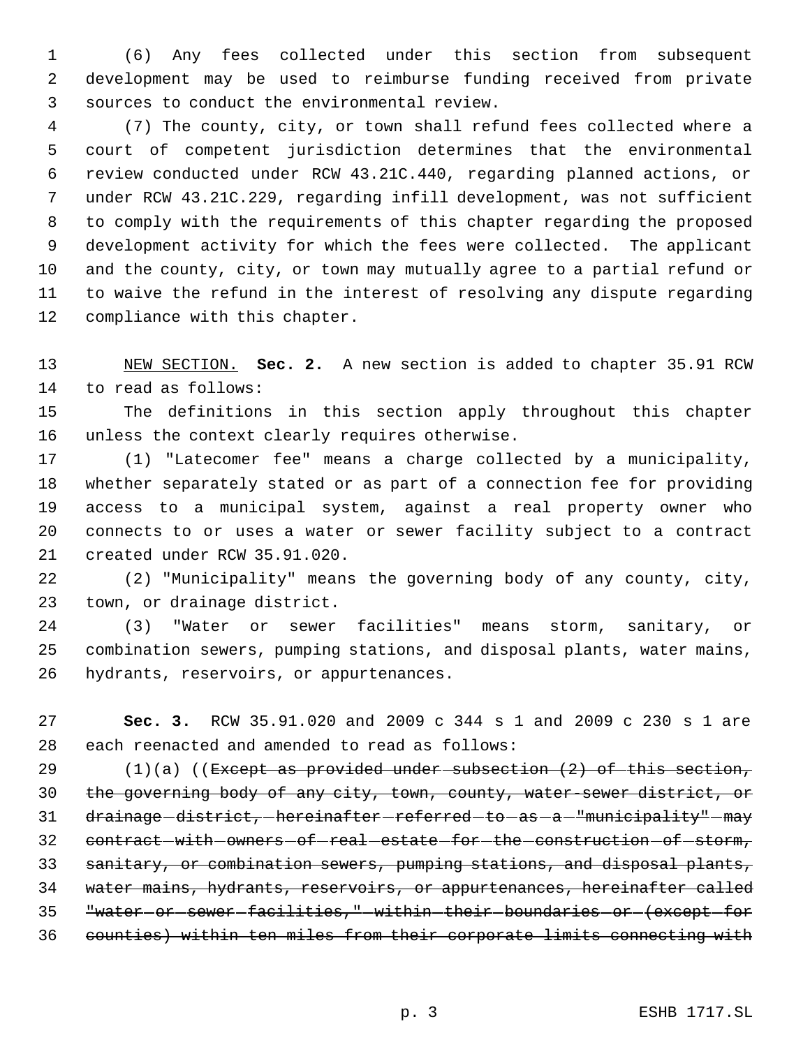(6) Any fees collected under this section from subsequent development may be used to reimburse funding received from private sources to conduct the environmental review.

 (7) The county, city, or town shall refund fees collected where a court of competent jurisdiction determines that the environmental review conducted under RCW 43.21C.440, regarding planned actions, or under RCW 43.21C.229, regarding infill development, was not sufficient to comply with the requirements of this chapter regarding the proposed development activity for which the fees were collected. The applicant and the county, city, or town may mutually agree to a partial refund or to waive the refund in the interest of resolving any dispute regarding compliance with this chapter.

 NEW SECTION. **Sec. 2.** A new section is added to chapter 35.91 RCW to read as follows:

 The definitions in this section apply throughout this chapter unless the context clearly requires otherwise.

 (1) "Latecomer fee" means a charge collected by a municipality, whether separately stated or as part of a connection fee for providing access to a municipal system, against a real property owner who connects to or uses a water or sewer facility subject to a contract created under RCW 35.91.020.

 (2) "Municipality" means the governing body of any county, city, town, or drainage district.

 (3) "Water or sewer facilities" means storm, sanitary, or combination sewers, pumping stations, and disposal plants, water mains, hydrants, reservoirs, or appurtenances.

 **Sec. 3.** RCW 35.91.020 and 2009 c 344 s 1 and 2009 c 230 s 1 are each reenacted and amended to read as follows:

 $(1)(a)$  ((Except as provided under subsection  $(2)$  of this section, the governing body of any city, town, county, water-sewer district, or 31 drainage-district,-hereinafter-referred-to-as-a-"municipality"-may 32 contract-with-owners-of-real-estate-for-the-construction-of-storm, 33 sanitary, or combination sewers, pumping stations, and disposal plants, water mains, hydrants, reservoirs, or appurtenances, hereinafter called "water or sewer facilities," within their boundaries or (except for counties) within ten miles from their corporate limits connecting with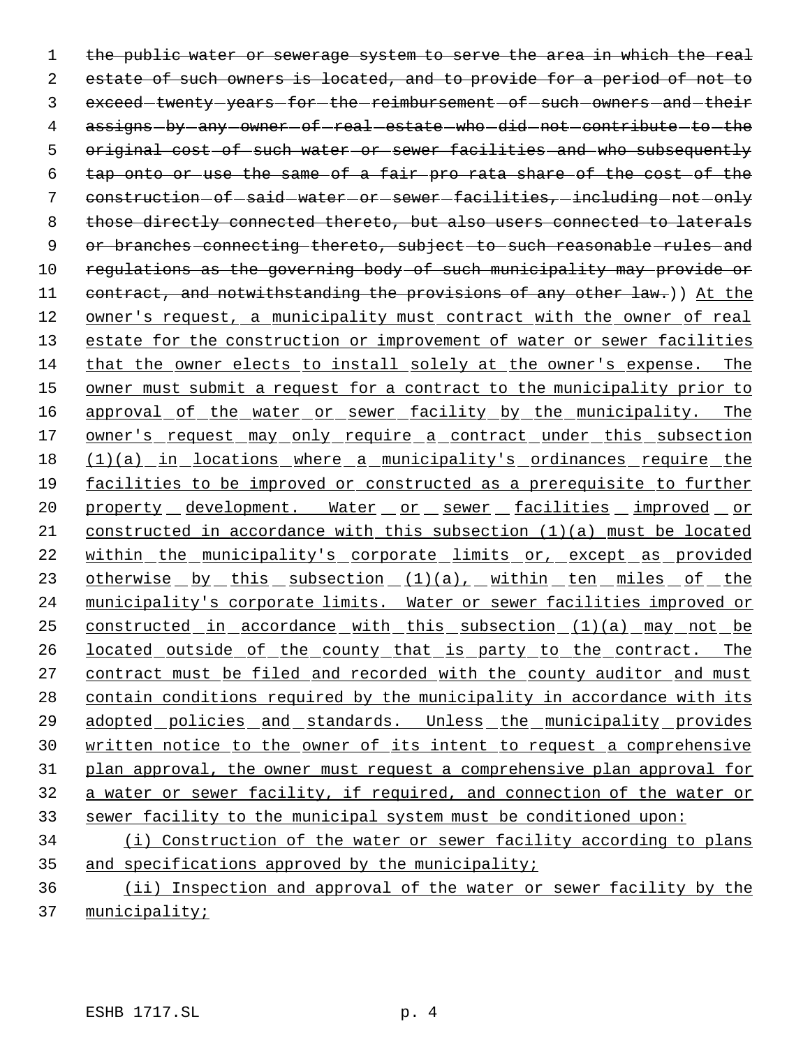1 the public water or sewerage system to serve the area in which the real 2 estate of such owners is located, and to provide for a period of not to 3 exceed-twenty-years-for-the-reimbursement-of-such-owners-and-their 4 assigns-by-any-owner-of-real-estate-who-did-not-contribute-to-the 5 original cost of such water or sewer facilities and who subsequently 6 tap onto or use the same of a fair pro rata share of the cost of the 7 construction of said water or sewer facilities, including not only 8 those directly connected thereto, but also users connected to laterals 9 or branches connecting thereto, subject to such reasonable rules and 10 regulations as the governing body of such municipality may provide or 11 contract, and notwithstanding the provisions of any other law.)) At the 12 owner's request, a municipality must contract with the owner of real 13 estate for the construction or improvement of water or sewer facilities 14 that the owner elects to install solely at the owner's expense. The 15 owner must submit a request for a contract to the municipality prior to 16 approval of the water or sewer facility by the municipality. The 17 owner's request may only require a contract under this subsection 18 (1)(a) in locations where a municipality's ordinances require the 19 facilities to be improved or constructed as a prerequisite to further 20 property development. Water or sewer facilities improved or 21 constructed in accordance with this subsection (1)(a) must be located 22 within the municipality's corporate limits or, except as provided 23 otherwise by this subsection (1)(a), within ten miles of the 24 municipality's corporate limits. Water or sewer facilities improved or 25 constructed in accordance with this subsection (1)(a) may not be 26 located outside of the county that is party to the contract. The 27 contract must be filed and recorded with the county auditor and must 28 contain conditions required by the municipality in accordance with its 29 adopted policies and standards. Unless the municipality provides 30 written notice to the owner of its intent to request a comprehensive 31 plan approval, the owner must request a comprehensive plan approval for 32 a water or sewer facility, if required, and connection of the water or 33 sewer facility to the municipal system must be conditioned upon: 34 (i) Construction of the water or sewer facility according to plans

35 and specifications approved by the municipality;

36 (ii) Inspection and approval of the water or sewer facility by the 37 municipality;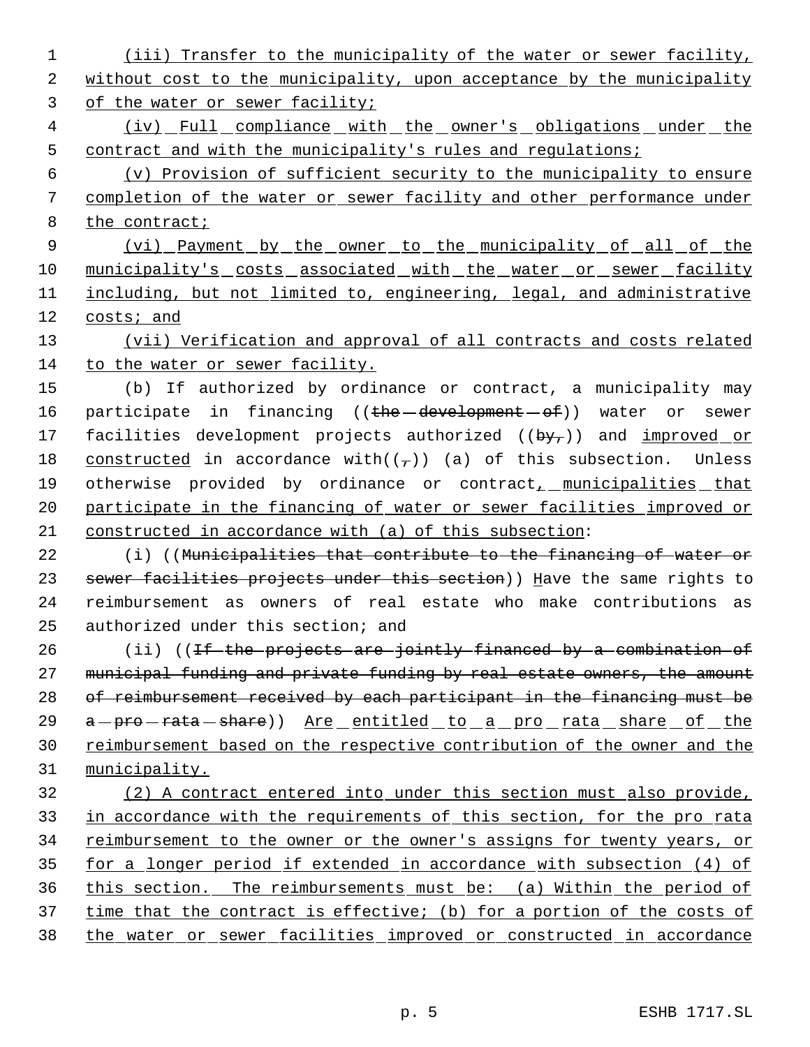1 (iii) Transfer to the municipality of the water or sewer facility, 2 without cost to the municipality, upon acceptance by the municipality 3 of the water or sewer facility;

4 (iv) Full compliance with the owner's obligations under the 5 contract and with the municipality's rules and regulations;

 6 (v) Provision of sufficient security to the municipality to ensure 7 completion of the water or sewer facility and other performance under 8 the contract;

9 (vi) Payment by the owner to the municipality of all of the 10 municipality's costs associated with the water or sewer facility 11 including, but not limited to, engineering, legal, and administrative 12 costs; and

13 (vii) Verification and approval of all contracts and costs related 14 to the water or sewer facility.

15 (b) If authorized by ordinance or contract, a municipality may 16 participate in financing ((the development of)) water or sewer 17 facilities development projects authorized  $((by<sub>r</sub>))$  and improved or 18 constructed in accordance with( $(\tau)$ ) (a) of this subsection. Unless 19 otherwise provided by ordinance or contract, municipalities that 20 participate in the financing of water or sewer facilities improved or 21 constructed in accordance with (a) of this subsection:

22 (i) ((Municipalities that contribute to the financing of water or 23 sewer facilities projects under this section)) Have the same rights to 24 reimbursement as owners of real estate who make contributions as 25 authorized under this section; and

26 (ii) ((If the projects are jointly financed by a combination of 27 municipal funding and private funding by real estate owners, the amount 28 of reimbursement received by each participant in the financing must be 29 a - pro - rata - share)) Are entitled to a pro rata share of the 30 reimbursement based on the respective contribution of the owner and the 31 municipality.

 (2) A contract entered into under this section must also provide, 33 in accordance with the requirements of this section, for the pro rata 34 reimbursement to the owner or the owner's assigns for twenty years, or for a longer period if extended in accordance with subsection (4) of this section. The reimbursements must be: (a) Within the period of time that the contract is effective; (b) for a portion of the costs of the water or sewer facilities improved or constructed in accordance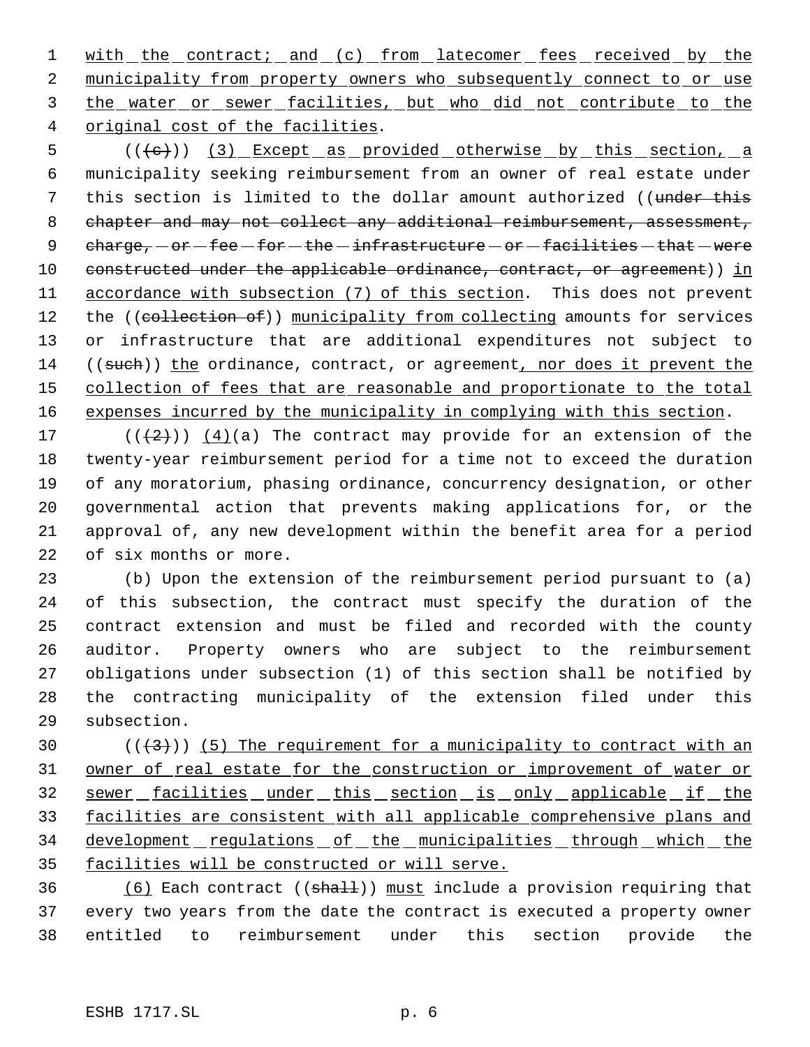1 with the contract; and (c) from latecomer fees received by the 2 municipality from property owners who subsequently connect to or use 3 the water or sewer facilities, but who did not contribute to the 4 original cost of the facilities.

5 (((e)) (3) Except as provided otherwise by this section, a 6 municipality seeking reimbursement from an owner of real estate under 7 this section is limited to the dollar amount authorized ((under this 8 chapter and may not collect any additional reimbursement, assessment, 9  $charge, -or - fee - for - the - infrastructure - or - facilities - that - were$ 10 constructed under the applicable ordinance, contract, or agreement)) in 11 accordance with subsection (7) of this section. This does not prevent 12 the ((collection of)) municipality from collecting amounts for services 13 or infrastructure that are additional expenditures not subject to 14 ((such)) the ordinance, contract, or agreement, nor does it prevent the 15 collection of fees that are reasonable and proportionate to the total 16 expenses incurred by the municipality in complying with this section.

 $((+2))$   $(4)(a)$  The contract may provide for an extension of the twenty-year reimbursement period for a time not to exceed the duration of any moratorium, phasing ordinance, concurrency designation, or other governmental action that prevents making applications for, or the approval of, any new development within the benefit area for a period of six months or more.

 (b) Upon the extension of the reimbursement period pursuant to (a) of this subsection, the contract must specify the duration of the contract extension and must be filed and recorded with the county auditor. Property owners who are subject to the reimbursement obligations under subsection (1) of this section shall be notified by the contracting municipality of the extension filed under this subsection.

30  $((+3))$  (5) The requirement for a municipality to contract with an 31 owner of real estate for the construction or improvement of water or 32 sewer facilities under this section is only applicable if the 33 facilities are consistent with all applicable comprehensive plans and 34 development regulations of the municipalities through which the 35 facilities will be constructed or will serve.

36 (6) Each contract (( $\frac{1}{2}$ ) must include a provision requiring that 37 every two years from the date the contract is executed a property owner 38 entitled to reimbursement under this section provide the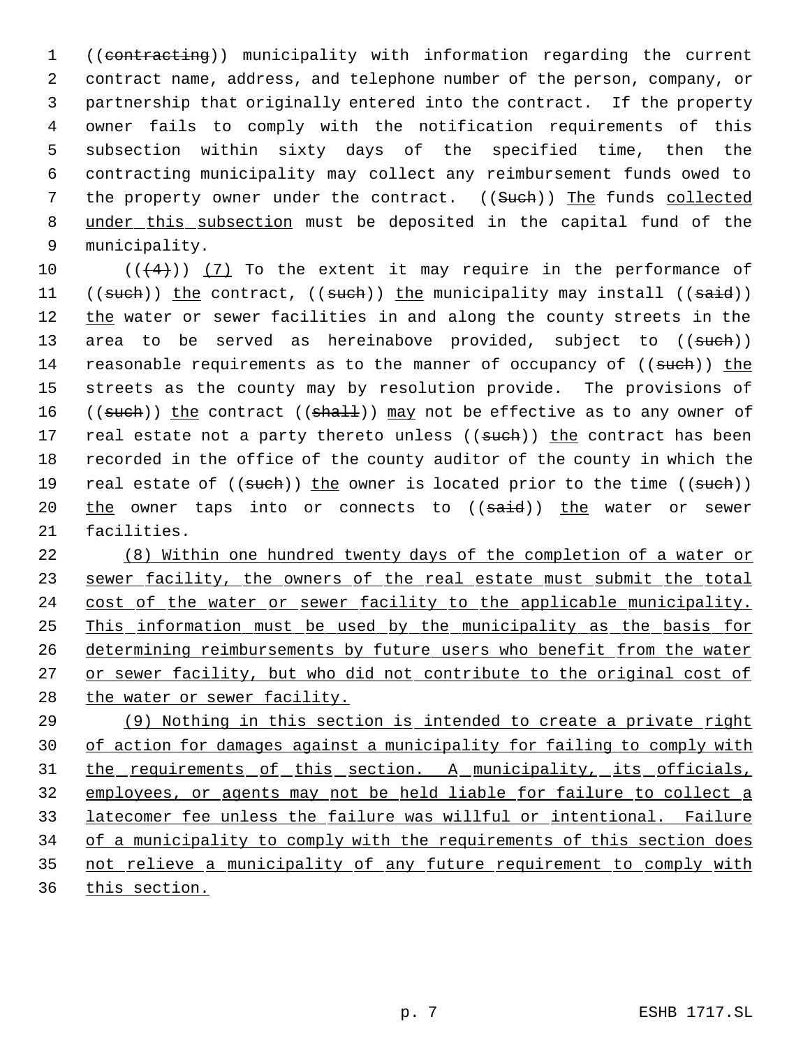1 ((contracting)) municipality with information regarding the current contract name, address, and telephone number of the person, company, or partnership that originally entered into the contract. If the property owner fails to comply with the notification requirements of this subsection within sixty days of the specified time, then the contracting municipality may collect any reimbursement funds owed to 7 the property owner under the contract. ((Sueh)) The funds collected 8 under this subsection must be deposited in the capital fund of the municipality.

10  $((4+))$  (7) To the extent it may require in the performance of 11 ((such)) the contract, ((such)) the municipality may install ((said)) 12 the water or sewer facilities in and along the county streets in the 13 area to be served as hereinabove provided, subject to ((such)) 14 reasonable requirements as to the manner of occupancy of ((such)) the 15 streets as the county may by resolution provide. The provisions of 16 ((such)) the contract ((shall)) may not be effective as to any owner of 17 real estate not a party thereto unless ((such)) the contract has been 18 recorded in the office of the county auditor of the county in which the 19 real estate of  $((such))$  the owner is located prior to the time  $((such))$ 20 the owner taps into or connects to ((said)) the water or sewer 21 facilities.

22 (8) Within one hundred twenty days of the completion of a water or 23 sewer facility, the owners of the real estate must submit the total 24 cost of the water or sewer facility to the applicable municipality. 25 This information must be used by the municipality as the basis for 26 determining reimbursements by future users who benefit from the water 27 or sewer facility, but who did not contribute to the original cost of 28 the water or sewer facility.

 (9) Nothing in this section is intended to create a private right of action for damages against a municipality for failing to comply with 31 the requirements of this section. A municipality, its officials, employees, or agents may not be held liable for failure to collect a latecomer fee unless the failure was willful or intentional. Failure 34 of a municipality to comply with the requirements of this section does 35 not relieve a municipality of any future requirement to comply with this section.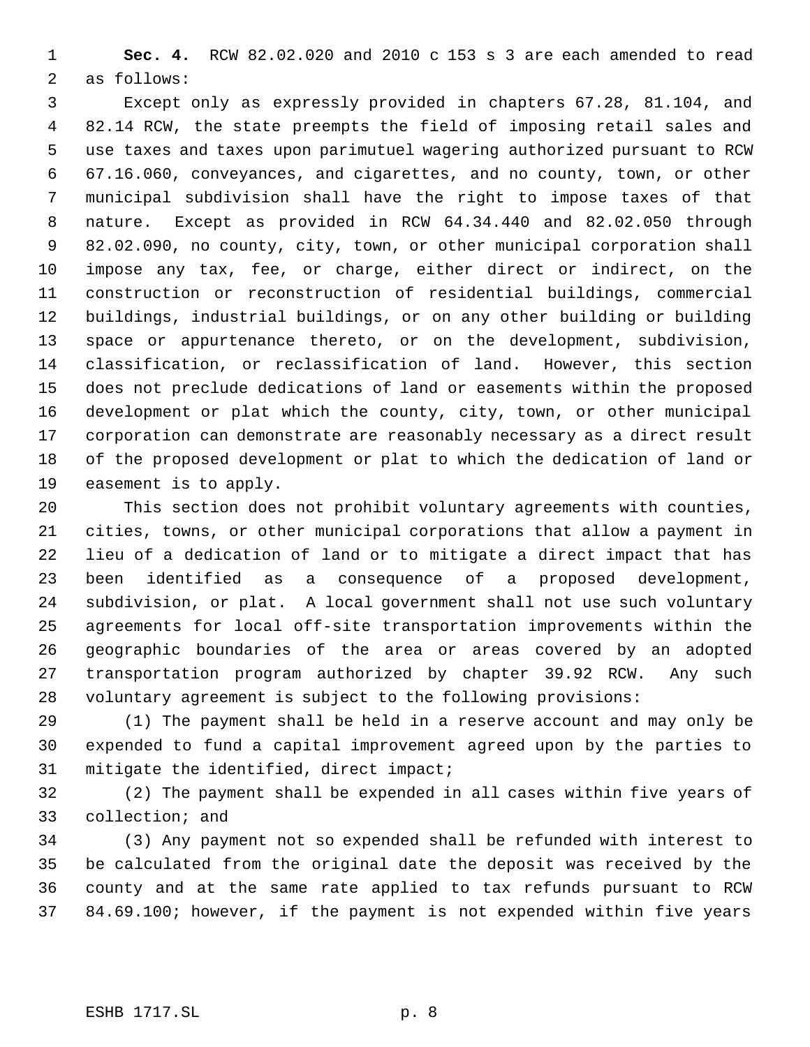**Sec. 4.** RCW 82.02.020 and 2010 c 153 s 3 are each amended to read as follows:

 Except only as expressly provided in chapters 67.28, 81.104, and 82.14 RCW, the state preempts the field of imposing retail sales and use taxes and taxes upon parimutuel wagering authorized pursuant to RCW 67.16.060, conveyances, and cigarettes, and no county, town, or other municipal subdivision shall have the right to impose taxes of that nature. Except as provided in RCW 64.34.440 and 82.02.050 through 82.02.090, no county, city, town, or other municipal corporation shall impose any tax, fee, or charge, either direct or indirect, on the construction or reconstruction of residential buildings, commercial buildings, industrial buildings, or on any other building or building space or appurtenance thereto, or on the development, subdivision, classification, or reclassification of land. However, this section does not preclude dedications of land or easements within the proposed development or plat which the county, city, town, or other municipal corporation can demonstrate are reasonably necessary as a direct result of the proposed development or plat to which the dedication of land or easement is to apply.

 This section does not prohibit voluntary agreements with counties, cities, towns, or other municipal corporations that allow a payment in lieu of a dedication of land or to mitigate a direct impact that has been identified as a consequence of a proposed development, subdivision, or plat. A local government shall not use such voluntary agreements for local off-site transportation improvements within the geographic boundaries of the area or areas covered by an adopted transportation program authorized by chapter 39.92 RCW. Any such voluntary agreement is subject to the following provisions:

 (1) The payment shall be held in a reserve account and may only be expended to fund a capital improvement agreed upon by the parties to mitigate the identified, direct impact;

 (2) The payment shall be expended in all cases within five years of collection; and

 (3) Any payment not so expended shall be refunded with interest to be calculated from the original date the deposit was received by the county and at the same rate applied to tax refunds pursuant to RCW 84.69.100; however, if the payment is not expended within five years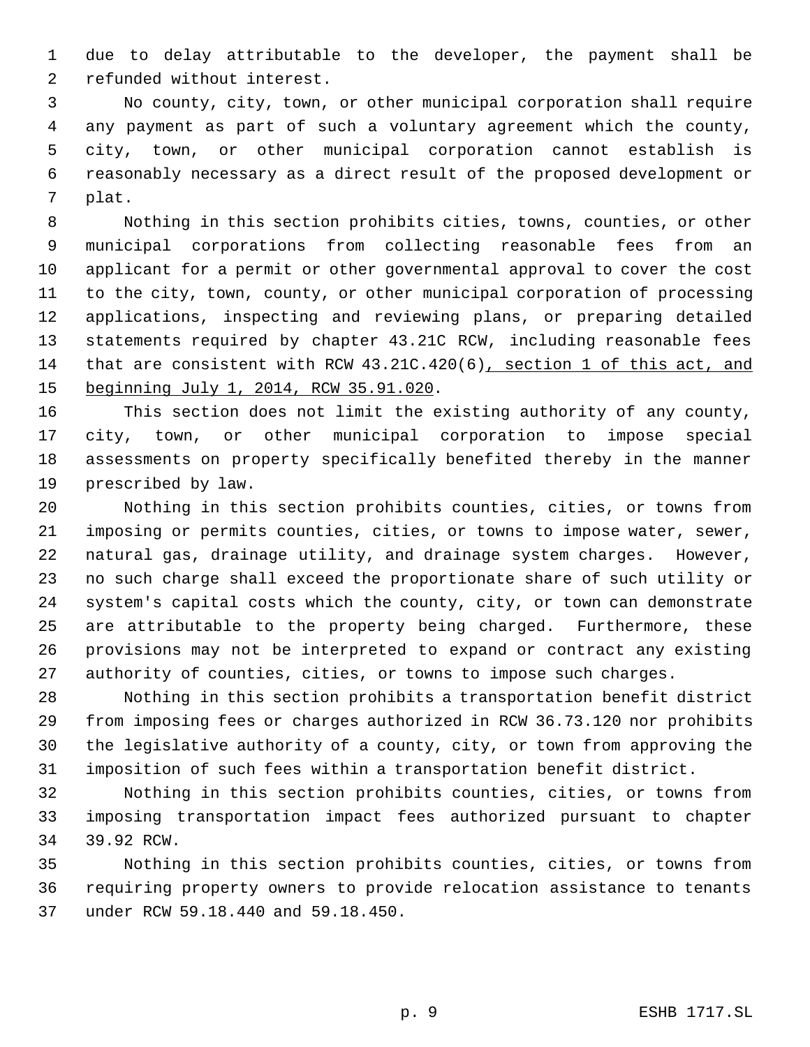due to delay attributable to the developer, the payment shall be refunded without interest.

 No county, city, town, or other municipal corporation shall require any payment as part of such a voluntary agreement which the county, city, town, or other municipal corporation cannot establish is reasonably necessary as a direct result of the proposed development or plat.

 Nothing in this section prohibits cities, towns, counties, or other municipal corporations from collecting reasonable fees from an applicant for a permit or other governmental approval to cover the cost to the city, town, county, or other municipal corporation of processing applications, inspecting and reviewing plans, or preparing detailed statements required by chapter 43.21C RCW, including reasonable fees that are consistent with RCW 43.21C.420(6), section 1 of this act, and beginning July 1, 2014, RCW 35.91.020.

 This section does not limit the existing authority of any county, city, town, or other municipal corporation to impose special assessments on property specifically benefited thereby in the manner prescribed by law.

 Nothing in this section prohibits counties, cities, or towns from imposing or permits counties, cities, or towns to impose water, sewer, natural gas, drainage utility, and drainage system charges. However, no such charge shall exceed the proportionate share of such utility or system's capital costs which the county, city, or town can demonstrate are attributable to the property being charged. Furthermore, these provisions may not be interpreted to expand or contract any existing authority of counties, cities, or towns to impose such charges.

 Nothing in this section prohibits a transportation benefit district from imposing fees or charges authorized in RCW 36.73.120 nor prohibits the legislative authority of a county, city, or town from approving the imposition of such fees within a transportation benefit district.

 Nothing in this section prohibits counties, cities, or towns from imposing transportation impact fees authorized pursuant to chapter 39.92 RCW.

 Nothing in this section prohibits counties, cities, or towns from requiring property owners to provide relocation assistance to tenants under RCW 59.18.440 and 59.18.450.